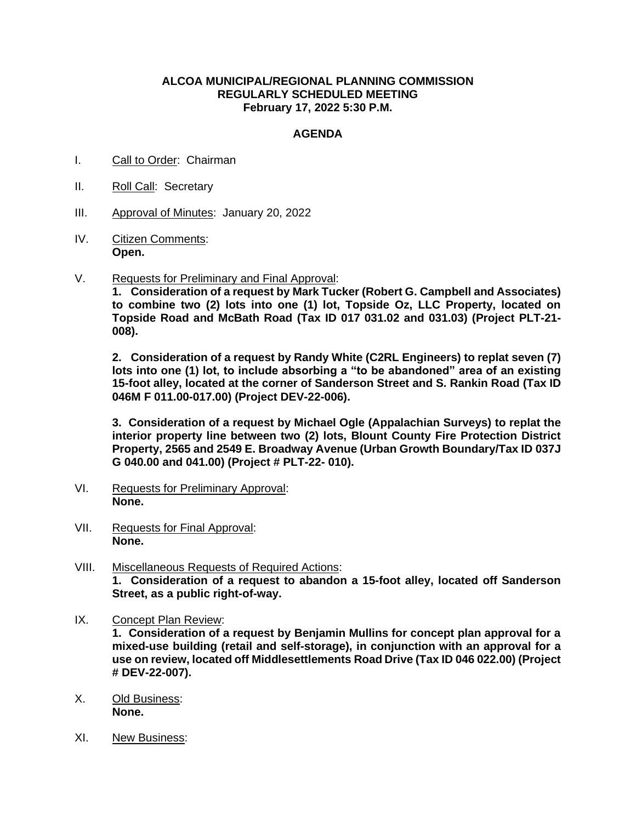## **ALCOA MUNICIPAL/REGIONAL PLANNING COMMISSION REGULARLY SCHEDULED MEETING February 17, 2022 5:30 P.M.**

## **AGENDA**

- I. Call to Order: Chairman
- II. Roll Call: Secretary
- III. Approval of Minutes: January 20, 2022
- IV. Citizen Comments: **Open.**
- V. Requests for Preliminary and Final Approval:

**1. Consideration of a request by Mark Tucker (Robert G. Campbell and Associates) to combine two (2) lots into one (1) lot, Topside Oz, LLC Property, located on Topside Road and McBath Road (Tax ID 017 031.02 and 031.03) (Project PLT-21- 008).**

**2. Consideration of a request by Randy White (C2RL Engineers) to replat seven (7) lots into one (1) lot, to include absorbing a "to be abandoned" area of an existing 15-foot alley, located at the corner of Sanderson Street and S. Rankin Road (Tax ID 046M F 011.00-017.00) (Project DEV-22-006).**

**3. Consideration of a request by Michael Ogle (Appalachian Surveys) to replat the interior property line between two (2) lots, Blount County Fire Protection District Property, 2565 and 2549 E. Broadway Avenue (Urban Growth Boundary/Tax ID 037J G 040.00 and 041.00) (Project # PLT-22- 010).**

- VI. Requests for Preliminary Approval: **None.**
- VII. Requests for Final Approval: **None.**
- VIII. Miscellaneous Requests of Required Actions: **1. Consideration of a request to abandon a 15-foot alley, located off Sanderson Street, as a public right-of-way.**
- IX. Concept Plan Review:

**1. Consideration of a request by Benjamin Mullins for concept plan approval for a mixed-use building (retail and self-storage), in conjunction with an approval for a use on review, located off Middlesettlements Road Drive (Tax ID 046 022.00) (Project # DEV-22-007).**

- X. Old Business: **None.**
- XI. New Business: